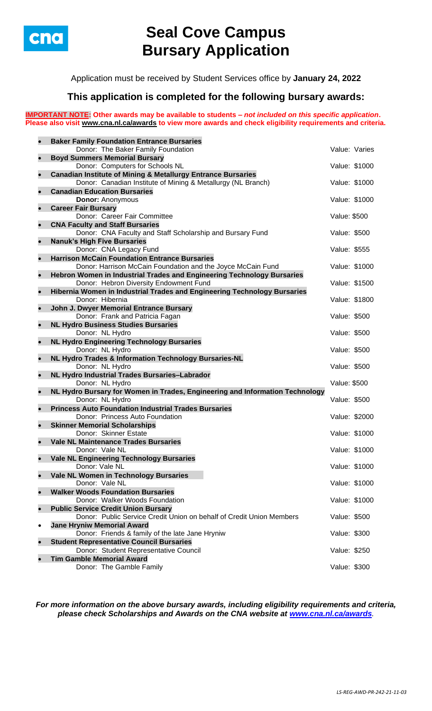

# **Seal Cove Campus Bursary Application**

Application must be received by Student Services office by **January 24, 2022**

## **This application is completed for the following bursary awards:**

**IMPORTANT NOTE: Other awards may be available to students –** *not included on this specific application***. Please also visit [www.cna.nl.ca/awards](http://www.cna.nl.ca/awards) to view more awards and check eligibility requirements and criteria.**

| $\bullet$ | <b>Baker Family Foundation Entrance Bursaries</b>                                           |                     |
|-----------|---------------------------------------------------------------------------------------------|---------------------|
|           | Donor: The Baker Family Foundation                                                          | Value: Varies       |
| $\bullet$ | <b>Boyd Summers Memorial Bursary</b>                                                        |                     |
|           | Donor: Computers for Schools NL                                                             | Value: \$1000       |
| $\bullet$ | <b>Canadian Institute of Mining &amp; Metallurgy Entrance Bursaries</b>                     |                     |
|           | Donor: Canadian Institute of Mining & Metallurgy (NL Branch)                                | Value: \$1000       |
| $\bullet$ | <b>Canadian Education Bursaries</b>                                                         |                     |
|           | <b>Donor: Anonymous</b>                                                                     | Value: \$1000       |
| $\bullet$ | <b>Career Fair Bursary</b>                                                                  |                     |
|           | Donor: Career Fair Committee                                                                | <b>Value: \$500</b> |
| $\bullet$ | <b>CNA Faculty and Staff Bursaries</b>                                                      |                     |
|           | Donor: CNA Faculty and Staff Scholarship and Bursary Fund                                   | Value: \$500        |
| $\bullet$ | <b>Nanuk's High Five Bursaries</b>                                                          |                     |
|           | Donor: CNA Legacy Fund                                                                      | Value: \$555        |
| $\bullet$ | <b>Harrison McCain Foundation Entrance Bursaries</b>                                        |                     |
|           | Donor: Harrison McCain Foundation and the Joyce McCain Fund                                 | Value: \$1000       |
| $\bullet$ | Hebron Women in Industrial Trades and Engineering Technology Bursaries                      |                     |
|           | Donor: Hebron Diversity Endowment Fund                                                      | Value: \$1500       |
| $\bullet$ | Hibernia Women in Industrial Trades and Engineering Technology Bursaries<br>Donor: Hibernia |                     |
|           |                                                                                             | Value: \$1800       |
| $\bullet$ | John J. Dwyer Memorial Entrance Bursary<br>Donor: Frank and Patricia Fagan                  | Value: \$500        |
| $\bullet$ | <b>NL Hydro Business Studies Bursaries</b>                                                  |                     |
|           | Donor: NL Hydro                                                                             | Value: \$500        |
| $\bullet$ | <b>NL Hydro Engineering Technology Bursaries</b>                                            |                     |
|           | Donor: NL Hydro                                                                             | Value: \$500        |
| $\bullet$ | NL Hydro Trades & Information Technology Bursaries-NL                                       |                     |
|           | Donor: NL Hydro                                                                             | Value: \$500        |
| $\bullet$ | NL Hydro Industrial Trades Bursaries-Labrador                                               |                     |
|           | Donor: NL Hydro                                                                             | Value: \$500        |
| $\bullet$ | NL Hydro Bursary for Women in Trades, Engineering and Information Technology                |                     |
|           | Donor: NL Hydro                                                                             | Value: \$500        |
| $\bullet$ | <b>Princess Auto Foundation Industrial Trades Bursaries</b>                                 |                     |
|           | Donor: Princess Auto Foundation                                                             | Value: \$2000       |
| $\bullet$ | <b>Skinner Memorial Scholarships</b>                                                        |                     |
|           | Donor: Skinner Estate                                                                       | Value: \$1000       |
| $\bullet$ | <b>Vale NL Maintenance Trades Bursaries</b>                                                 |                     |
|           | Donor: Vale NL                                                                              | Value: \$1000       |
| $\bullet$ | <b>Vale NL Engineering Technology Bursaries</b><br>Donor: Vale NL                           | Value: \$1000       |
| $\bullet$ | Vale NL Women in Technology Bursaries                                                       |                     |
|           | Donor: Vale NL                                                                              | Value: \$1000       |
| $\bullet$ | <b>Walker Woods Foundation Bursaries</b>                                                    |                     |
|           | Donor: Walker Woods Foundation                                                              | Value: \$1000       |
| $\bullet$ | <b>Public Service Credit Union Bursary</b>                                                  |                     |
|           | Donor: Public Service Credit Union on behalf of Credit Union Members                        | Value: \$500        |
| $\bullet$ | <b>Jane Hryniw Memorial Award</b>                                                           |                     |
|           | Donor: Friends & family of the late Jane Hryniw                                             | Value: \$300        |
| $\bullet$ | <b>Student Representative Council Bursaries</b>                                             |                     |
|           | Donor: Student Representative Council                                                       | Value: \$250        |
| $\bullet$ | <b>Tim Gamble Memorial Award</b>                                                            |                     |
|           | Donor: The Gamble Family                                                                    | Value: \$300        |

*For more information on the above bursary awards, including eligibility requirements and criteria, please check Scholarships and Awards on the CNA website at [www.cna.nl.ca/awards](http://www.cna.nl.ca/awards).*